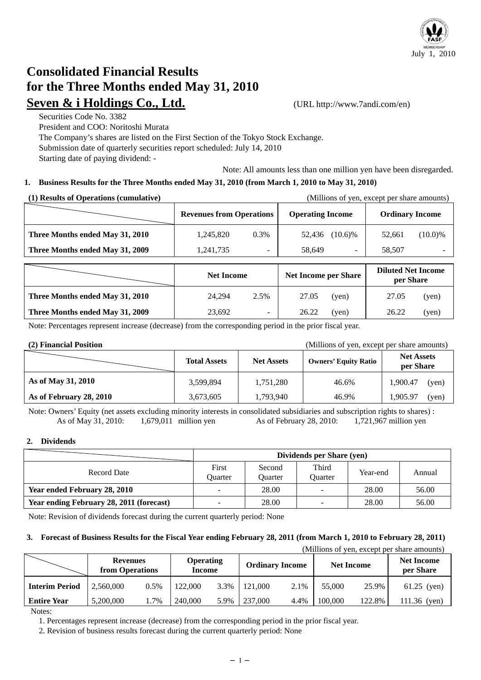

# **Consolidated Financial Results for the Three Months ended May 31, 2010 Seven & i Holdings Co., Ltd.** (URL http://www.7andi.com/en)

Securities Code No. 3382 President and COO: Noritoshi Murata The Company's shares are listed on the First Section of the Tokyo Stock Exchange. Submission date of quarterly securities report scheduled: July 14, 2010 Starting date of paying dividend: -

Note: All amounts less than one million yen have been disregarded.

### **1. Business Results for the Three Months ended May 31, 2010 (from March 1, 2010 to May 31, 2010)**

| (1) Results of Operations (cumulative) |                                 |      |                         |                          | (Millions of yen, except per share amounts) |            |
|----------------------------------------|---------------------------------|------|-------------------------|--------------------------|---------------------------------------------|------------|
|                                        | <b>Revenues from Operations</b> |      | <b>Operating Income</b> |                          | <b>Ordinary Income</b>                      |            |
| Three Months ended May 31, 2010        | 1,245,820                       | 0.3% | 52,436                  | $(10.6)\%$               | 52.661                                      | $(10.0)\%$ |
| Three Months ended May 31, 2009        | 1,241,735                       |      | 58,649                  | $\overline{\phantom{0}}$ | 58,507                                      |            |

|                                 | <b>Net Income</b> |                          | <b>Net Income per Share</b> |       | <b>Diluted Net Income</b><br>per Share |       |
|---------------------------------|-------------------|--------------------------|-----------------------------|-------|----------------------------------------|-------|
| Three Months ended May 31, 2010 | 24.294            | 2.5%                     | 27.05                       | (ven) | 27.05                                  | (yen) |
| Three Months ended May 31, 2009 | 23,692            | $\overline{\phantom{0}}$ | 26.22                       | (yen) | 26.22                                  | (yen) |

Note: Percentages represent increase (decrease) from the corresponding period in the prior fiscal year.

**(2) Financial Position** (Millions of yen, except per share amounts)

|                         | <b>Net Assets</b><br><b>Total Assets</b> |           | <b>Owners' Equity Ratio</b> | <b>Net Assets</b><br>per Share |  |
|-------------------------|------------------------------------------|-----------|-----------------------------|--------------------------------|--|
| As of May 31, 2010      | 3,599,894                                | 1,751,280 | 46.6%                       | 1,900.47<br>(yen)              |  |
| As of February 28, 2010 | 3,673,605                                | 1,793,940 | 46.9%                       | 1.905.97<br>(yen)              |  |

Note: Owners' Equity (net assets excluding minority interests in consolidated subsidiaries and subscription rights to shares) : As of May 31, 2010: 1,679,011 million yen As of February 28, 2010: 1,721,967 million yen

#### **2. Dividends**

|                                          | Dividends per Share (yen) |                          |                  |          |        |
|------------------------------------------|---------------------------|--------------------------|------------------|----------|--------|
| Record Date                              | First<br>Ouarter          | Second<br><b>Ouarter</b> | Third<br>Ouarter | Year-end | Annual |
| <b>Year ended February 28, 2010</b>      |                           | 28.00                    |                  | 28.00    | 56.00  |
| Year ending February 28, 2011 (forecast) | -                         | 28.00                    |                  | 28.00    | 56.00  |

Note: Revision of dividends forecast during the current quarterly period: None

#### **3. Forecast of Business Results for the Fiscal Year ending February 28, 2011 (from March 1, 2010 to February 28, 2011)**

(Millions of yen, except per share amounts)

|                       |           | <b>Operating</b><br><b>Revenues</b><br>from Operations<br><b>Income</b> |         |      | <b>Ordinary Income</b> |      | <b>Net Income</b> |        | <b>Net Income</b><br>per Share |
|-----------------------|-----------|-------------------------------------------------------------------------|---------|------|------------------------|------|-------------------|--------|--------------------------------|
| <b>Interim Period</b> | 2,560,000 | 0.5%                                                                    | 122,000 | 3.3% | 121,000                | 2.1% | 55,000            | 25.9%  | $61.25$ (yen)                  |
| <b>Entire Year</b>    | 5,200,000 | 1.7%                                                                    | 240.000 | 5.9% | 237,000                | 4.4% | 100,000           | 122.8% | 111.36<br>(ven)                |
| $\mathbf{X}$          |           |                                                                         |         |      |                        |      |                   |        |                                |

Notes:

1. Percentages represent increase (decrease) from the corresponding period in the prior fiscal year.

2. Revision of business results forecast during the current quarterly period: None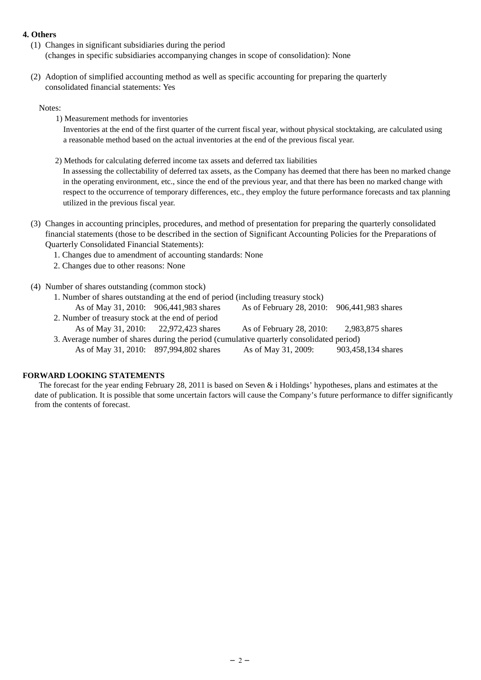#### **4. Others**

- (1) Changes in significant subsidiaries during the period (changes in specific subsidiaries accompanying changes in scope of consolidation): None
- (2) Adoption of simplified accounting method as well as specific accounting for preparing the quarterly consolidated financial statements: Yes

#### Notes:

1) Measurement methods for inventories

 Inventories at the end of the first quarter of the current fiscal year, without physical stocktaking, are calculated using a reasonable method based on the actual inventories at the end of the previous fiscal year.

2) Methods for calculating deferred income tax assets and deferred tax liabilities

In assessing the collectability of deferred tax assets, as the Company has deemed that there has been no marked change in the operating environment, etc., since the end of the previous year, and that there has been no marked change with respect to the occurrence of temporary differences, etc., they employ the future performance forecasts and tax planning utilized in the previous fiscal year.

- (3) Changes in accounting principles, procedures, and method of presentation for preparing the quarterly consolidated financial statements (those to be described in the section of Significant Accounting Policies for the Preparations of Quarterly Consolidated Financial Statements):
	- 1. Changes due to amendment of accounting standards: None
	- 2. Changes due to other reasons: None
- (4) Number of shares outstanding (common stock)
	- 1. Number of shares outstanding at the end of period (including treasury stock)
	- As of May 31, 2010: 906,441,983 shares As of February 28, 2010: 906,441,983 shares
	- 2. Number of treasury stock at the end of period As of May 31, 2010: 22,972,423 shares As of February 28, 2010: 2,983,875 shares
	- 3. Average number of shares during the period (cumulative quarterly consolidated period) As of May 31, 2010: 897,994,802 shares As of May 31, 2009: 903,458,134 shares

#### **FORWARD LOOKING STATEMENTS**

The forecast for the year ending February 28, 2011 is based on Seven & i Holdings' hypotheses, plans and estimates at the date of publication. It is possible that some uncertain factors will cause the Company's future performance to differ significantly from the contents of forecast.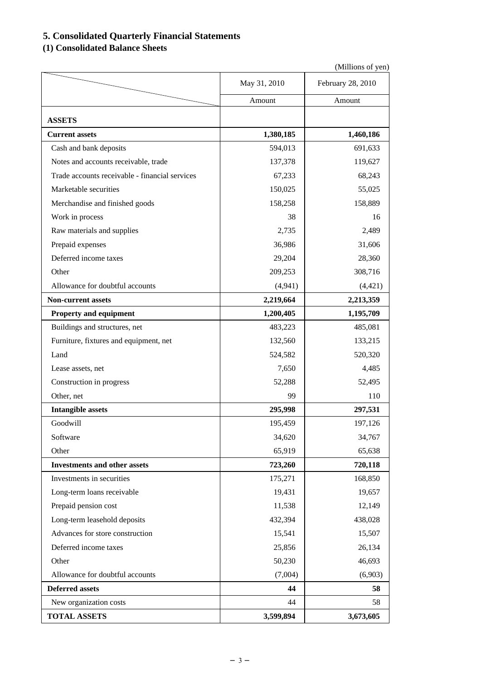# **5. Consolidated Quarterly Financial Statements**

# **(1) Consolidated Balance Sheets**

|                                                |              | (Millions of yen) |
|------------------------------------------------|--------------|-------------------|
|                                                | May 31, 2010 | February 28, 2010 |
|                                                | Amount       | Amount            |
| <b>ASSETS</b>                                  |              |                   |
| <b>Current assets</b>                          | 1,380,185    | 1,460,186         |
| Cash and bank deposits                         | 594,013      | 691,633           |
| Notes and accounts receivable, trade           | 137,378      | 119,627           |
| Trade accounts receivable - financial services | 67,233       | 68,243            |
| Marketable securities                          | 150,025      | 55,025            |
| Merchandise and finished goods                 | 158,258      | 158,889           |
| Work in process                                | 38           | 16                |
|                                                |              | 2,489             |
| Raw materials and supplies                     | 2,735        |                   |
| Prepaid expenses                               | 36,986       | 31,606            |
| Deferred income taxes                          | 29,204       | 28,360            |
| Other                                          | 209,253      | 308,716           |
| Allowance for doubtful accounts                | (4,941)      | (4, 421)          |
| <b>Non-current assets</b>                      | 2,219,664    | 2,213,359         |
| Property and equipment                         | 1,200,405    | 1,195,709         |
| Buildings and structures, net                  | 483,223      | 485,081           |
| Furniture, fixtures and equipment, net         | 132,560      | 133,215           |
| Land                                           | 524,582      | 520,320           |
| Lease assets, net                              | 7,650        | 4,485             |
| Construction in progress                       | 52,288       | 52,495            |
| Other, net                                     | 99           | 110               |
| <b>Intangible assets</b>                       | 295,998      | 297,531           |
| Goodwill                                       | 195,459      | 197,126           |
| Software                                       | 34,620       | 34,767            |
| Other                                          | 65,919       | 65,638            |
| <b>Investments and other assets</b>            | 723,260      | 720,118           |
| Investments in securities                      | 175,271      | 168,850           |
| Long-term loans receivable                     | 19,431       | 19,657            |
| Prepaid pension cost                           | 11,538       | 12,149            |
| Long-term leasehold deposits                   | 432,394      | 438,028           |
| Advances for store construction                | 15,541       | 15,507            |
| Deferred income taxes                          | 25,856       | 26,134            |
| Other                                          | 50,230       | 46,693            |
| Allowance for doubtful accounts                | (7,004)      | (6,903)           |
| <b>Deferred assets</b>                         | 44           | 58                |
| New organization costs                         | 44           | 58                |
| <b>TOTAL ASSETS</b>                            | 3,599,894    | 3,673,605         |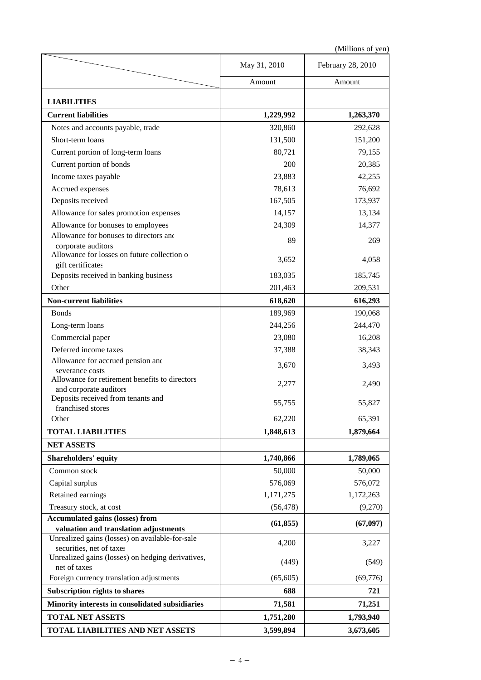(Millions of yen)

|                                                                   | May 31, 2010 | February 28, 2010 |
|-------------------------------------------------------------------|--------------|-------------------|
|                                                                   | Amount       | Amount            |
| <b>LIABILITIES</b>                                                |              |                   |
| <b>Current liabilities</b>                                        |              |                   |
|                                                                   | 1,229,992    | 1,263,370         |
| Notes and accounts payable, trade                                 | 320,860      | 292,628           |
| Short-term loans                                                  | 131,500      | 151,200           |
| Current portion of long-term loans                                | 80,721       | 79,155            |
| Current portion of bonds                                          | 200          | 20,385            |
| Income taxes payable                                              | 23,883       | 42,255            |
| Accrued expenses                                                  | 78,613       | 76,692            |
| Deposits received                                                 | 167,505      | 173,937           |
| Allowance for sales promotion expenses                            | 14,157       | 13,134            |
| Allowance for bonuses to employees                                | 24,309       | 14,377            |
| Allowance for bonuses to directors and                            | 89           | 269               |
| corporate auditors<br>Allowance for losses on future collection o |              |                   |
| gift certificates                                                 | 3,652        | 4,058             |
| Deposits received in banking business                             | 183,035      | 185,745           |
| Other                                                             | 201,463      | 209,531           |
| <b>Non-current liabilities</b>                                    | 618,620      | 616,293           |
| <b>Bonds</b>                                                      | 189,969      | 190,068           |
| Long-term loans                                                   | 244,256      | 244,470           |
| Commercial paper                                                  | 23,080       | 16,208            |
| Deferred income taxes                                             | 37,388       | 38,343            |
| Allowance for accrued pension and                                 |              |                   |
| severance costs                                                   | 3,670        | 3,493             |
| Allowance for retirement benefits to directors                    | 2,277        | 2,490             |
| and corporate auditors<br>Deposits received from tenants and      |              |                   |
| franchised stores                                                 | 55,755       | 55,827            |
| Other                                                             | 62,220       | 65,391            |
| <b>TOTAL LIABILITIES</b>                                          | 1,848,613    | 1,879,664         |
| <b>NET ASSETS</b>                                                 |              |                   |
| <b>Shareholders' equity</b>                                       | 1,740,866    | 1,789,065         |
| Common stock                                                      | 50,000       | 50,000            |
| Capital surplus                                                   | 576,069      | 576,072           |
| Retained earnings                                                 | 1,171,275    | 1,172,263         |
| Treasury stock, at cost                                           | (56, 478)    | (9,270)           |
| <b>Accumulated gains (losses) from</b>                            |              |                   |
| valuation and translation adjustments                             | (61, 855)    | (67, 097)         |
| Unrealized gains (losses) on available-for-sale                   | 4,200        | 3,227             |
| securities, net of taxes                                          |              |                   |
| Unrealized gains (losses) on hedging derivatives,<br>net of taxes | (449)        | (549)             |
| Foreign currency translation adjustments                          | (65, 605)    | (69,776)          |
| Subscription rights to shares                                     | 688          | 721               |
| Minority interests in consolidated subsidiaries                   | 71,581       | 71,251            |
| <b>TOTAL NET ASSETS</b>                                           | 1,751,280    | 1,793,940         |
|                                                                   |              |                   |
| <b>TOTAL LIABILITIES AND NET ASSETS</b>                           | 3,599,894    | 3,673,605         |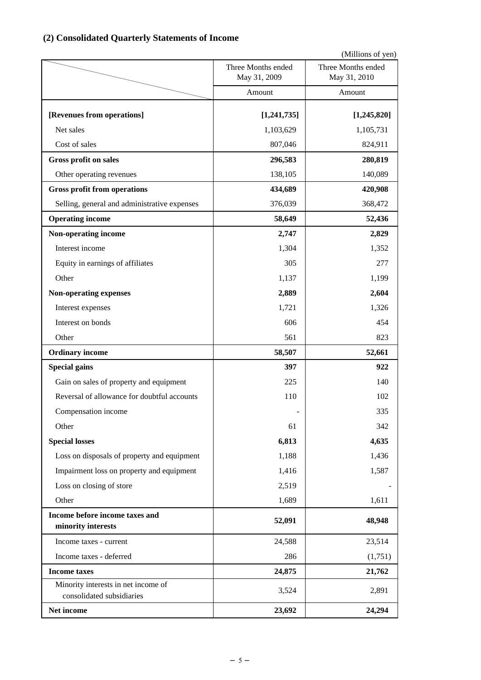# **(2) Consolidated Quarterly Statements of Income**

(Millions of yen)

|                                                                  | Three Months ended<br>May 31, 2009 | Three Months ended<br>May 31, 2010 |
|------------------------------------------------------------------|------------------------------------|------------------------------------|
|                                                                  | Amount                             | Amount                             |
| [Revenues from operations]                                       | [1,241,735]                        | [1, 245, 820]                      |
| Net sales                                                        | 1,103,629                          | 1,105,731                          |
| Cost of sales                                                    | 807,046<br>296,583                 | 824,911                            |
| <b>Gross profit on sales</b><br>Other operating revenues         | 138,105                            | 280,819<br>140,089                 |
| <b>Gross profit from operations</b>                              | 434,689                            | 420,908                            |
| Selling, general and administrative expenses                     | 376,039                            | 368,472                            |
| <b>Operating income</b>                                          | 58,649                             | 52,436                             |
| Non-operating income                                             | 2,747                              | 2,829                              |
| Interest income                                                  | 1,304                              | 1,352                              |
| Equity in earnings of affiliates                                 | 305                                | 277                                |
| Other                                                            | 1,137                              | 1,199                              |
|                                                                  | 2,889                              | 2,604                              |
| Non-operating expenses                                           | 1,721                              | 1,326                              |
| Interest expenses<br>Interest on bonds                           | 606                                | 454                                |
| Other                                                            | 561                                | 823                                |
|                                                                  |                                    |                                    |
| <b>Ordinary income</b>                                           | 58,507<br>397                      | 52,661<br>922                      |
| <b>Special gains</b><br>Gain on sales of property and equipment  | 225                                | 140                                |
| Reversal of allowance for doubtful accounts                      | 110                                | 102                                |
| Compensation income                                              |                                    | 335                                |
| Other                                                            | 61                                 | 342                                |
| <b>Special losses</b>                                            | 6,813                              | 4,635                              |
| Loss on disposals of property and equipment                      | 1,188                              | 1,436                              |
| Impairment loss on property and equipment                        | 1,416                              | 1,587                              |
| Loss on closing of store                                         | 2,519                              |                                    |
| Other                                                            | 1,689                              | 1,611                              |
| Income before income taxes and                                   |                                    |                                    |
| minority interests                                               | 52,091                             | 48,948                             |
| Income taxes - current                                           | 24,588                             | 23,514                             |
| Income taxes - deferred                                          | 286                                | (1,751)                            |
| <b>Income taxes</b>                                              | 24,875                             | 21,762                             |
| Minority interests in net income of<br>consolidated subsidiaries | 3,524                              | 2,891                              |
| Net income                                                       | 23,692                             | 24,294                             |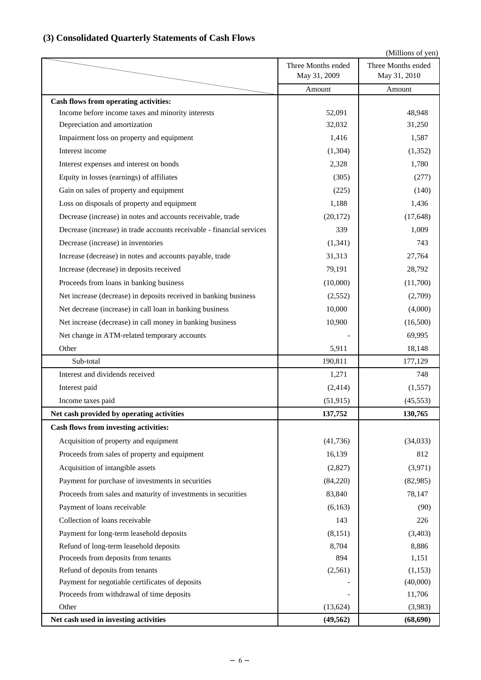## (Millions of yen) **Cash flows from operating activities:** Income before income taxes and minority interests 52,091 52,091 48,948 Depreciation and amortization 31,250 Impairment loss on property and equipment 1,587 1,416 1,587 Interest income  $(1.364)$  (1.352) Interest expenses and interest on bonds 2,328 1,780 Equity in losses (earnings) of affiliates (305) (305) (277) Gain on sales of property and equipment  $(140)$  (140) Loss on disposals of property and equipment 1,188 1,436 Decrease (increase) in notes and accounts receivable, trade (20,172) (17,648) Decrease (increase) in trade accounts receivable - financial services 339 1,009 Decrease (increase) in inventories (1,341) 743 Increase (decrease) in notes and accounts payable, trade 31,313 31,313 27,764 Increase (decrease) in deposits received 79,191 28,792 Proceeds from loans in banking business (10,000) (11,700) (11,700) Net increase (decrease) in deposits received in banking business (2,552) (2,552) (2,709) Net decrease (increase) in call loan in banking business 10,000 (4,000) (4,000) Net increase (decrease) in call money in banking business 10,900 (16,500) Net change in ATM-related temporary accounts and the change of the change in ATM-related temporary accounts Other 18,148 Sub-total 190,811 177,129 Interest and dividends received  $1.271$   $748$ Interest paid  $(2,414)$   $(1,557)$ Income taxes paid  $(51,915)$  (45,553) Net cash provided by operating activities 137,752 130,765 **Cash flows from investing activities:** Acquisition of property and equipment (41,736) (34,033) Proceeds from sales of property and equipment 16,139 812 Acquisition of intangible assets  $(2,827)$   $(3,971)$ Payment for purchase of investments in securities (84,220) (82,985) Proceeds from sales and maturity of investments in securities 83,840 83,840 78,147 Payment of loans receivable (6,163) (90) Collection of loans receivable 143 226 Payment for long-term leasehold deposits (8,151) (3,403) Three Months ended May 31, 2010 Amount Three Months ended May 31, 2009 Amount

## **(3) Consolidated Quarterly Statements of Cash Flows**

Refund of long-term leasehold deposits 8,704 8,886 Proceeds from deposits from tenants 894 1,151 Refund of deposits from tenants  $(2,561)$   $(1,153)$ Payment for negotiable certificates of deposits  $(40,000)$ Proceeds from withdrawal of time deposits and the set of the set of time deposits and the set of time deposits of the set of time deposits of the set of time deposits of the set of time deposits of the set of the set of th Other  $(13,624)$   $(3,983)$ **Net cash used in investing activities (49,562) (68,690)**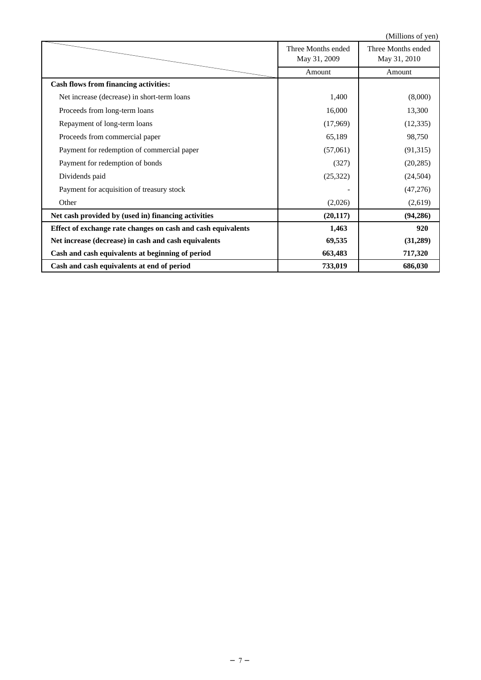|                                                              |                                    | (Millions of yen)                  |
|--------------------------------------------------------------|------------------------------------|------------------------------------|
|                                                              | Three Months ended<br>May 31, 2009 | Three Months ended<br>May 31, 2010 |
|                                                              | Amount                             | Amount                             |
| <b>Cash flows from financing activities:</b>                 |                                    |                                    |
| Net increase (decrease) in short-term loans                  | 1,400                              | (8,000)                            |
| Proceeds from long-term loans                                | 16,000                             | 13,300                             |
| Repayment of long-term loans                                 | (17,969)                           | (12, 335)                          |
| Proceeds from commercial paper                               | 65,189                             | 98,750                             |
| Payment for redemption of commercial paper                   | (57,061)                           | (91,315)                           |
| Payment for redemption of bonds                              | (327)                              | (20, 285)                          |
| Dividends paid                                               | (25,322)                           | (24, 504)                          |
| Payment for acquisition of treasury stock                    |                                    | (47,276)                           |
| Other                                                        | (2,026)                            | (2,619)                            |
| Net cash provided by (used in) financing activities          | (20, 117)                          | (94, 286)                          |
| Effect of exchange rate changes on cash and cash equivalents | 1,463                              | 920                                |
| Net increase (decrease) in cash and cash equivalents         | 69,535                             | (31,289)                           |
| Cash and cash equivalents at beginning of period             | 663,483                            | 717,320                            |
| Cash and cash equivalents at end of period                   | 733,019                            | 686,030                            |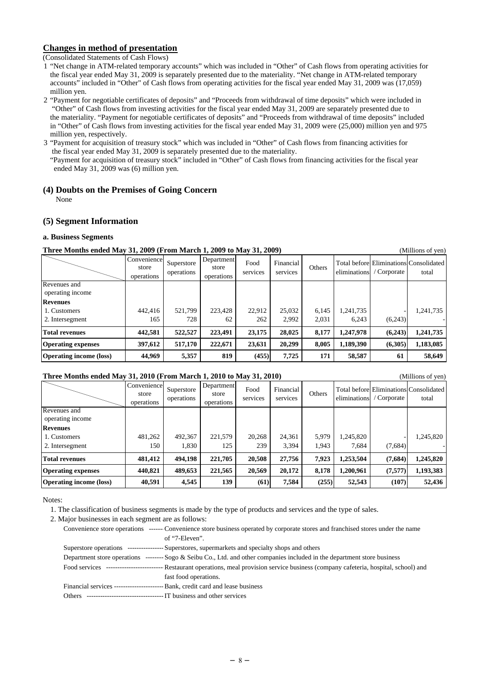#### **Changes in method of presentation**

(Consolidated Statements of Cash Flows)

- 1 "Net change in ATM-related temporary accounts" which was included in "Other" of Cash flows from operating activities for the fiscal year ended May 31, 2009 is separately presented due to the materiality. "Net change in ATM-related temporary accounts" included in "Other" of Cash flows from operating activities for the fiscal year ended May 31, 2009 was (17,059) million yen.
- 2 "Payment for negotiable certificates of deposits" and "Proceeds from withdrawal of time deposits" which were included in "Other" of Cash flows from investing activities for the fiscal year ended May 31, 2009 are separately presented due to the materiality. "Payment for negotiable certificates of deposits" and "Proceeds from withdrawal of time deposits" included in "Other" of Cash flows from investing activities for the fiscal year ended May 31, 2009 were (25,000) million yen and 975 million yen, respectively.

3 "Payment for acquisition of treasury stock" which was included in "Other" of Cash flows from financing activities for the fiscal year ended May 31, 2009 is separately presented due to the materiality. "Payment for acquisition of treasury stock" included in "Other" of Cash flows from financing activities for the fiscal year ended May 31, 2009 was (6) million yen.

#### **(4) Doubts on the Premises of Going Concern**

None

#### **(5) Segment Information**

#### **a. Business Segments**

#### **Three Months ended May 31, 2009 (From March 1, 2009 to May 31, 2009)** (Millions of yen)

|                                  | Convenience<br>store<br>operations | Superstore<br>operations | Department<br>store<br>operations | Food<br>services | Financial<br>services | Others |           | eliminations / Corporate | Total before Eliminations Consolidated<br>total |
|----------------------------------|------------------------------------|--------------------------|-----------------------------------|------------------|-----------------------|--------|-----------|--------------------------|-------------------------------------------------|
| Revenues and<br>operating income |                                    |                          |                                   |                  |                       |        |           |                          |                                                 |
| <b>Revenues</b>                  |                                    |                          |                                   |                  |                       |        |           |                          |                                                 |
| 1. Customers                     | 442,416                            | 521,799                  | 223,428                           | 22,912           | 25,032                | 6,145  | 1,241,735 |                          | 1,241,735                                       |
| 2. Intersegment                  | 165                                | 728                      | 62                                | 262              | 2,992                 | 2,031  | 6,243     | (6,243)                  |                                                 |
| <b>Total revenues</b>            | 442,581                            | 522,527                  | 223,491                           | 23,175           | 28,025                | 8,177  | 1,247,978 | (6,243)                  | 1,241,735                                       |
| <b>Operating expenses</b>        | 397,612                            | 517,170                  | 222,671                           | 23,631           | 20,299                | 8.005  | 1,189,390 | (6,305)                  | 1,183,085                                       |
| <b>Operating income (loss)</b>   | 44,969                             | 5,357                    | 819                               | (455)            | 7,725                 | 171    | 58,587    | 61                       | 58,649                                          |

### **Three Months ended May 31, 2010 (From March 1, 2010 to May 31, 2010)** (Millions of yen)

| THE C MORUS CRUCU MAY 91, 2010 (FTOM MATCH 1, 2010 to MAY 91, 2010) |                                    |                          |                                   |                  |                       |        |              |           | типнону от уент                                 |
|---------------------------------------------------------------------|------------------------------------|--------------------------|-----------------------------------|------------------|-----------------------|--------|--------------|-----------|-------------------------------------------------|
|                                                                     | Convenience<br>store<br>operations | Superstore<br>operations | Department<br>store<br>operations | Food<br>services | Financial<br>services | Others | eliminations | Corporate | Total before Eliminations Consolidated<br>total |
| Revenues and                                                        |                                    |                          |                                   |                  |                       |        |              |           |                                                 |
| operating income                                                    |                                    |                          |                                   |                  |                       |        |              |           |                                                 |
| <b>Revenues</b>                                                     |                                    |                          |                                   |                  |                       |        |              |           |                                                 |
| 1. Customers                                                        | 481,262                            | 492,367                  | 221,579                           | 20,268           | 24,361                | 5,979  | 1,245,820    |           | 1,245,820                                       |
| 2. Intersegment                                                     | 150                                | 1,830                    | 125                               | 239              | 3,394                 | 1.943  | 7,684        | (7,684)   |                                                 |
| <b>Total revenues</b>                                               | 481,412                            | 494.198                  | 221,705                           | 20,508           | 27,756                | 7.923  | 1,253,504    | (7,684)   | 1,245,820                                       |
| <b>Operating expenses</b>                                           | 440,821                            | 489,653                  | 221,565                           | 20,569           | 20,172                | 8.178  | 1,200,961    | (7,577)   | 1,193,383                                       |
| <b>Operating income (loss)</b>                                      | 40,591                             | 4,545                    | 139                               | (61)             | 7.584                 | (255)  | 52,543       | (107)     | 52,436                                          |

Notes:

1. The classification of business segments is made by the type of products and services and the type of sales.

2. Major businesses in each segment are as follows:

|               | Convenience store operations ------- Convenience store business operated by corporate stores and franchised stores under the name |
|---------------|-----------------------------------------------------------------------------------------------------------------------------------|
|               | of "7-Eleven".                                                                                                                    |
|               | Superstore operations ----------------- Superstores, supermarkets and specialty shops and others                                  |
|               | Department store operations -------- Sogo & Seibu Co., Ltd. and other companies included in the department store business         |
| Food services | -------------------------- Restaurant operations, meal provision service business (company cafeteria, hospital, school) and       |
|               | fast food operations.                                                                                                             |
|               |                                                                                                                                   |
| Others        |                                                                                                                                   |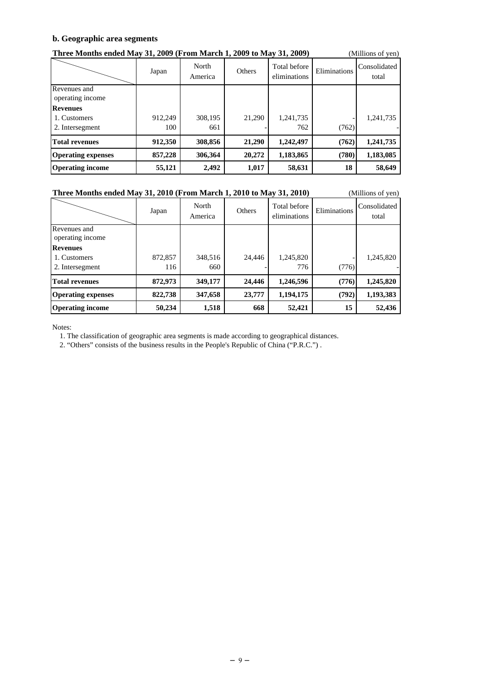#### **b. Geographic area segments**

| Three Months ended May 31, 2009 (From March 1, 2009 to May 31, 2009) |         |                  |        |                              |              | (Millions of yen)     |
|----------------------------------------------------------------------|---------|------------------|--------|------------------------------|--------------|-----------------------|
|                                                                      | Japan   | North<br>America | Others | Total before<br>eliminations | Eliminations | Consolidated<br>total |
| Revenues and<br>operating income                                     |         |                  |        |                              |              |                       |
| <b>Revenues</b>                                                      |         |                  |        |                              |              |                       |
| 1. Customers                                                         | 912,249 | 308,195          | 21,290 | 1,241,735                    |              | 1,241,735             |
| 2. Intersegment                                                      | 100     | 661              |        | 762                          | (762)        |                       |
| <b>Total revenues</b>                                                | 912,350 | 308,856          | 21,290 | 1,242,497                    | (762)        | 1,241,735             |
| <b>Operating expenses</b>                                            | 857,228 | 306.364          | 20,272 | 1,183,865                    | (780)        | 1,183,085             |
| <b>Operating income</b>                                              | 55,121  | 2,492            | 1,017  | 58,631                       | 18           | 58,649                |

#### **Three Months ended May 31, 2010 (From March 1, 2010 to May 31, 2010)** (Millions of yen)

|                                                    | Japan          | North<br>America | Others | Total before<br>eliminations | Eliminations | Consolidated<br>total |
|----------------------------------------------------|----------------|------------------|--------|------------------------------|--------------|-----------------------|
| Revenues and<br>operating income                   |                |                  |        |                              |              |                       |
| <b>Revenues</b><br>1. Customers<br>2. Intersegment | 872,857<br>116 | 348,516<br>660   | 24.446 | 1,245,820<br>776             | (776)        | 1,245,820             |
| <b>Total revenues</b>                              | 872,973        | 349,177          | 24,446 | 1,246,596                    | (776)        | 1,245,820             |
| <b>Operating expenses</b>                          | 822,738        | 347,658          | 23,777 | 1,194,175                    | (792)        | 1,193,383             |
| <b>Operating income</b>                            | 50,234         | 1,518            | 668    | 52,421                       | 15           | 52,436                |

Notes:

1. The classification of geographic area segments is made according to geographical distances.

2. "Others" consists of the business results in the People's Republic of China ("P.R.C.") .